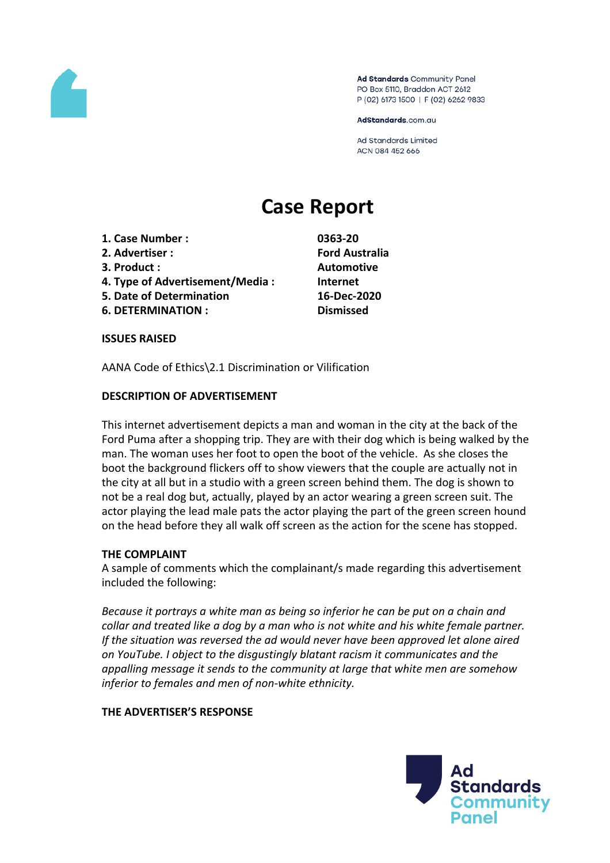

Ad Standards Community Panel PO Box 5110, Braddon ACT 2612 P (02) 6173 1500 | F (02) 6262 9833

AdStandards.com.au

**Ad Standards Limited** ACN 084 452 666

# **Case Report**

- **1. Case Number : 0363-20**
- **2. Advertiser : Ford Australia**
- 
- **4. Type of Advertisement/Media : Internet**
- **5. Date of Determination 16-Dec-2020**
- **6. DETERMINATION : Dismissed**

**3. Product : Automotive**

**ISSUES RAISED**

AANA Code of Ethics\2.1 Discrimination or Vilification

#### **DESCRIPTION OF ADVERTISEMENT**

This internet advertisement depicts a man and woman in the city at the back of the Ford Puma after a shopping trip. They are with their dog which is being walked by the man. The woman uses her foot to open the boot of the vehicle. As she closes the boot the background flickers off to show viewers that the couple are actually not in the city at all but in a studio with a green screen behind them. The dog is shown to not be a real dog but, actually, played by an actor wearing a green screen suit. The actor playing the lead male pats the actor playing the part of the green screen hound on the head before they all walk off screen as the action for the scene has stopped.

#### **THE COMPLAINT**

A sample of comments which the complainant/s made regarding this advertisement included the following:

*Because it portrays a white man as being so inferior he can be put on a chain and collar and treated like a dog by a man who is not white and his white female partner. If the situation was reversed the ad would never have been approved let alone aired on YouTube. I object to the disgustingly blatant racism it communicates and the appalling message it sends to the community at large that white men are somehow inferior to females and men of non-white ethnicity.*

#### **THE ADVERTISER'S RESPONSE**

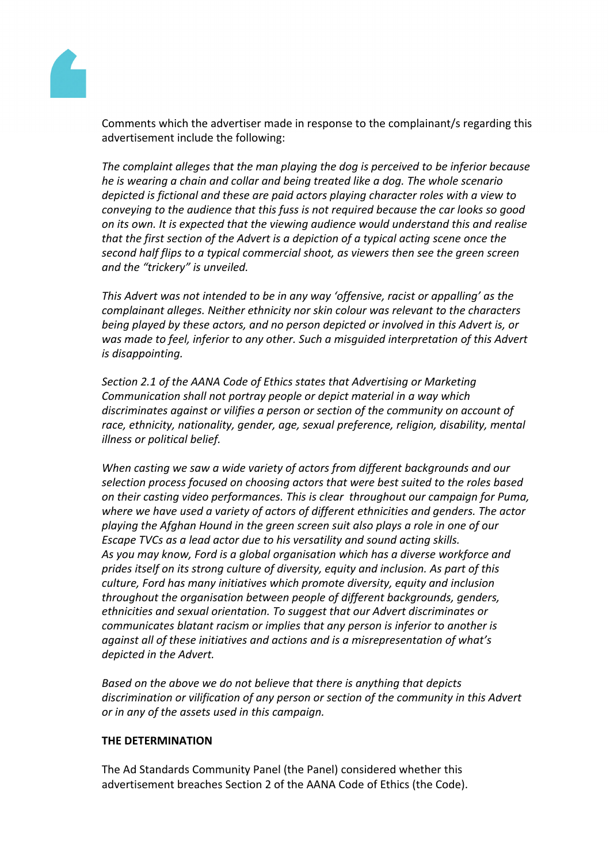

Comments which the advertiser made in response to the complainant/s regarding this advertisement include the following:

*The complaint alleges that the man playing the dog is perceived to be inferior because he is wearing a chain and collar and being treated like a dog. The whole scenario depicted is fictional and these are paid actors playing character roles with a view to conveying to the audience that this fuss is not required because the car looks so good on its own. It is expected that the viewing audience would understand this and realise that the first section of the Advert is a depiction of a typical acting scene once the second half flips to a typical commercial shoot, as viewers then see the green screen and the "trickery" is unveiled.*

*This Advert was not intended to be in any way 'offensive, racist or appalling' as the complainant alleges. Neither ethnicity nor skin colour was relevant to the characters being played by these actors, and no person depicted or involved in this Advert is, or was made to feel, inferior to any other. Such a misguided interpretation of this Advert is disappointing.*

*Section 2.1 of the AANA Code of Ethics states that Advertising or Marketing Communication shall not portray people or depict material in a way which discriminates against or vilifies a person or section of the community on account of race, ethnicity, nationality, gender, age, sexual preference, religion, disability, mental illness or political belief.*

*When casting we saw a wide variety of actors from different backgrounds and our selection process focused on choosing actors that were best suited to the roles based on their casting video performances. This is clear throughout our campaign for Puma, where we have used a variety of actors of different ethnicities and genders. The actor playing the Afghan Hound in the green screen suit also plays a role in one of our Escape TVCs as a lead actor due to his versatility and sound acting skills. As you may know, Ford is a global organisation which has a diverse workforce and prides itself on its strong culture of diversity, equity and inclusion. As part of this culture, Ford has many initiatives which promote diversity, equity and inclusion throughout the organisation between people of different backgrounds, genders, ethnicities and sexual orientation. To suggest that our Advert discriminates or communicates blatant racism or implies that any person is inferior to another is against all of these initiatives and actions and is a misrepresentation of what's depicted in the Advert.* 

*Based on the above we do not believe that there is anything that depicts discrimination or vilification of any person or section of the community in this Advert or in any of the assets used in this campaign.*

#### **THE DETERMINATION**

The Ad Standards Community Panel (the Panel) considered whether this advertisement breaches Section 2 of the AANA Code of Ethics (the Code).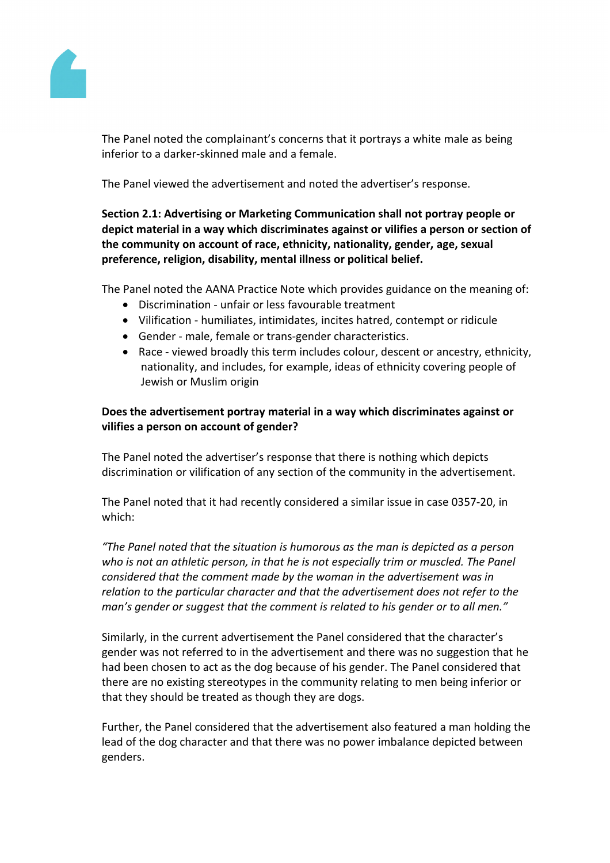

The Panel noted the complainant's concerns that it portrays a white male as being inferior to a darker-skinned male and a female.

The Panel viewed the advertisement and noted the advertiser's response.

**Section 2.1: Advertising or Marketing Communication shall not portray people or depict material in a way which discriminates against or vilifies a person or section of the community on account of race, ethnicity, nationality, gender, age, sexual preference, religion, disability, mental illness or political belief.**

The Panel noted the AANA Practice Note which provides guidance on the meaning of:

- Discrimination unfair or less favourable treatment
- Vilification humiliates, intimidates, incites hatred, contempt or ridicule
- Gender male, female or trans-gender characteristics.
- Race viewed broadly this term includes colour, descent or ancestry, ethnicity, nationality, and includes, for example, ideas of ethnicity covering people of Jewish or Muslim origin

## **Does the advertisement portray material in a way which discriminates against or vilifies a person on account of gender?**

The Panel noted the advertiser's response that there is nothing which depicts discrimination or vilification of any section of the community in the advertisement.

The Panel noted that it had recently considered a similar issue in case 0357-20, in which:

*"The Panel noted that the situation is humorous as the man is depicted as a person who is not an athletic person, in that he is not especially trim or muscled. The Panel considered that the comment made by the woman in the advertisement was in relation to the particular character and that the advertisement does not refer to the man's gender or suggest that the comment is related to his gender or to all men."*

Similarly, in the current advertisement the Panel considered that the character's gender was not referred to in the advertisement and there was no suggestion that he had been chosen to act as the dog because of his gender. The Panel considered that there are no existing stereotypes in the community relating to men being inferior or that they should be treated as though they are dogs.

Further, the Panel considered that the advertisement also featured a man holding the lead of the dog character and that there was no power imbalance depicted between genders.